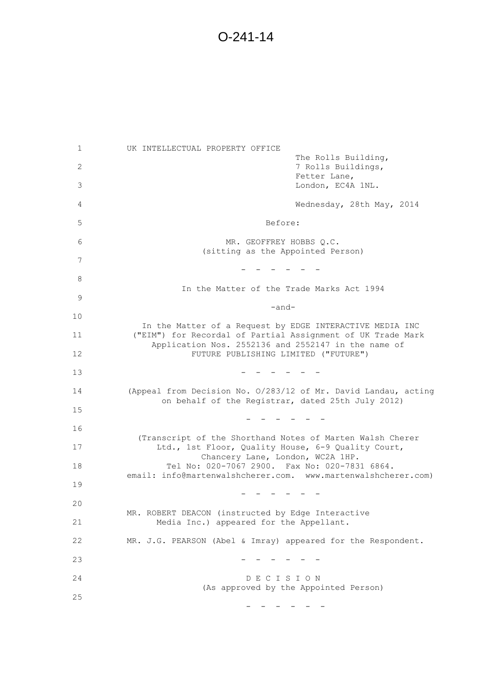1 UK INTELLECTUAL PROPERTY OFFICE The Rolls Building, 2 7 Rolls Buildings, Fetter Lane, 3 London, EC4A 1NL. 4 Wednesday, 28th May, 2014 5 Before: 6 MR. GEOFFREY HOBBS Q.C. (sitting as the Appointed Person) 7 - - - - - - 8 In the Matter of the Trade Marks Act 1994 9 -and- 10 In the Matter of a Request by EDGE INTERACTIVE MEDIA INC 11 ("EIM") for Recordal of Partial Assignment of UK Trade Mark Application Nos. 2552136 and 2552147 in the name of 12 FUTURE PUBLISHING LIMITED ("FUTURE")  $13$  - - - - - 14 (Appeal from Decision No. O/283/12 of Mr. David Landau, acting on behalf of the Registrar, dated 25th July 2012) 15 - - - - - - 16 (Transcript of the Shorthand Notes of Marten Walsh Cherer 17 Ltd., 1st Floor, Quality House, 6-9 Quality Court, Chancery Lane, London, WC2A 1HP. 18 Tel No: 020-7067 2900. Fax No: 020-7831 6864. email: info@martenwalshcherer.com. www.martenwalshcherer.com) 19 - - - - - - 20 MR. ROBERT DEACON (instructed by Edge Interactive 21 Media Inc.) appeared for the Appellant. 22 MR. J.G. PEARSON (Abel & Imray) appeared for the Respondent. 23 - - - - - - 24 D E C I S I O N (As approved by the Appointed Person) 25 - - - - - -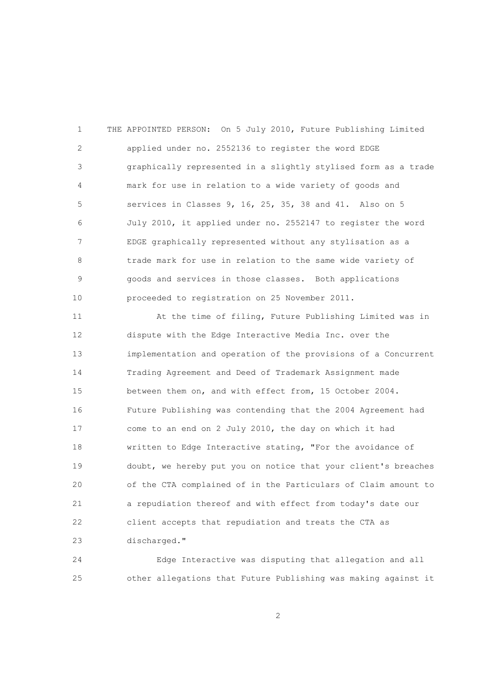1 THE APPOINTED PERSON: On 5 July 2010, Future Publishing Limited 2 applied under no. 2552136 to register the word EDGE 3 graphically represented in a slightly stylised form as a trade 4 mark for use in relation to a wide variety of goods and 5 services in Classes 9, 16, 25, 35, 38 and 41. Also on 5 6 July 2010, it applied under no. 2552147 to register the word 7 EDGE graphically represented without any stylisation as a 8 trade mark for use in relation to the same wide variety of 9 goods and services in those classes. Both applications 10 proceeded to registration on 25 November 2011.

 11 At the time of filing, Future Publishing Limited was in 12 dispute with the Edge Interactive Media Inc. over the 13 implementation and operation of the provisions of a Concurrent 14 Trading Agreement and Deed of Trademark Assignment made 15 between them on, and with effect from, 15 October 2004. 16 Future Publishing was contending that the 2004 Agreement had 17 come to an end on 2 July 2010, the day on which it had 18 written to Edge Interactive stating, "For the avoidance of 19 doubt, we hereby put you on notice that your client's breaches 20 of the CTA complained of in the Particulars of Claim amount to 21 a repudiation thereof and with effect from today's date our 22 client accepts that repudiation and treats the CTA as 23 discharged."

 24 Edge Interactive was disputing that allegation and all 25 other allegations that Future Publishing was making against it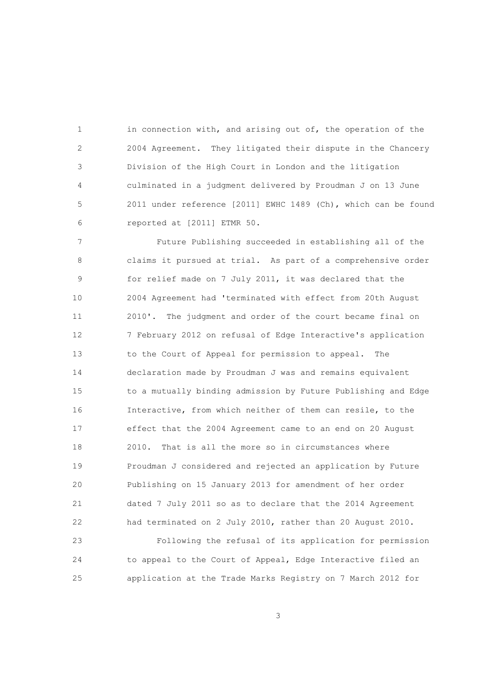1 in connection with, and arising out of, the operation of the 2 2004 Agreement. They litigated their dispute in the Chancery 3 Division of the High Court in London and the litigation 4 culminated in a judgment delivered by Proudman J on 13 June 5 2011 under reference [2011] EWHC 1489 (Ch), which can be found 6 reported at [2011] ETMR 50.

 7 Future Publishing succeeded in establishing all of the 8 claims it pursued at trial. As part of a comprehensive order 9 for relief made on 7 July 2011, it was declared that the 10 2004 Agreement had 'terminated with effect from 20th August 11 2010'. The judgment and order of the court became final on 12 7 February 2012 on refusal of Edge Interactive's application 13 to the Court of Appeal for permission to appeal. The 14 declaration made by Proudman J was and remains equivalent 15 to a mutually binding admission by Future Publishing and Edge 16 Interactive, from which neither of them can resile, to the 17 effect that the 2004 Agreement came to an end on 20 August 18 2010. That is all the more so in circumstances where 19 Proudman J considered and rejected an application by Future 20 Publishing on 15 January 2013 for amendment of her order 21 dated 7 July 2011 so as to declare that the 2014 Agreement 22 had terminated on 2 July 2010, rather than 20 August 2010.

 23 Following the refusal of its application for permission 24 to appeal to the Court of Appeal, Edge Interactive filed an 25 application at the Trade Marks Registry on 7 March 2012 for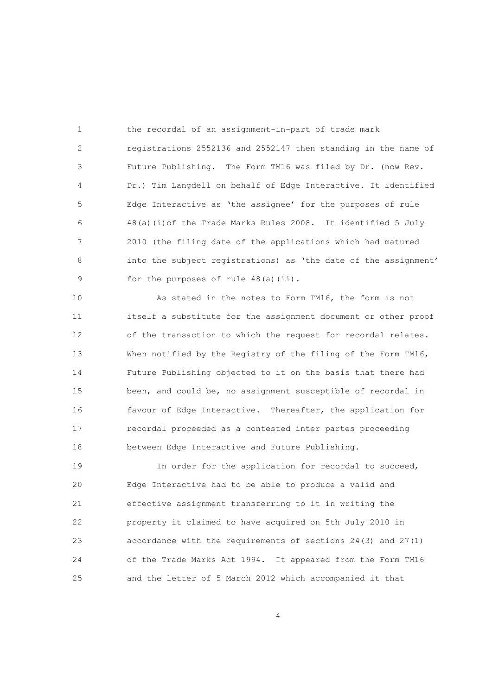1 the recordal of an assignment-in-part of trade mark 2 registrations 2552136 and 2552147 then standing in the name of 3 Future Publishing. The Form TM16 was filed by Dr. (now Rev. 4 Dr.) Tim Langdell on behalf of Edge Interactive. It identified 5 Edge Interactive as 'the assignee' for the purposes of rule 6 48(a)(i)of the Trade Marks Rules 2008. It identified 5 July 7 2010 (the filing date of the applications which had matured 8 into the subject registrations) as 'the date of the assignment' 9 for the purposes of rule 48(a)(ii).

 10 As stated in the notes to Form TM16, the form is not 11 itself a substitute for the assignment document or other proof 12 of the transaction to which the request for recordal relates. 13 When notified by the Registry of the filing of the Form TM16, 14 Future Publishing objected to it on the basis that there had 15 been, and could be, no assignment susceptible of recordal in 16 favour of Edge Interactive. Thereafter, the application for 17 recordal proceeded as a contested inter partes proceeding 18 between Edge Interactive and Future Publishing.

 19 In order for the application for recordal to succeed, 20 Edge Interactive had to be able to produce a valid and 21 effective assignment transferring to it in writing the 22 property it claimed to have acquired on 5th July 2010 in 23 accordance with the requirements of sections 24(3) and 27(1) 24 of the Trade Marks Act 1994. It appeared from the Form TM16 25 and the letter of 5 March 2012 which accompanied it that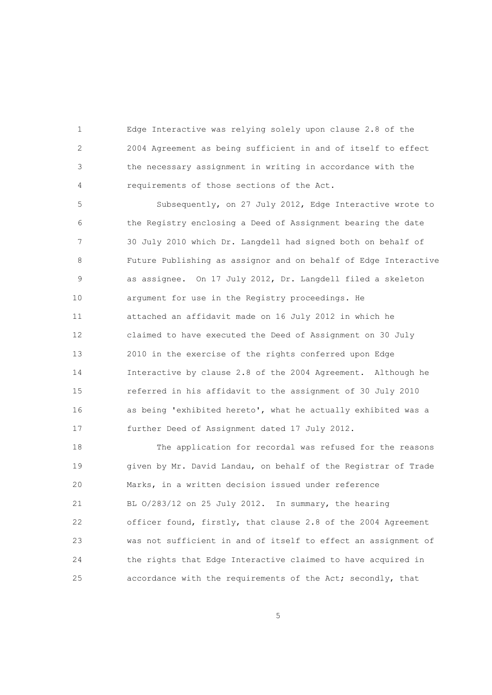1 Edge Interactive was relying solely upon clause 2.8 of the 2 2004 Agreement as being sufficient in and of itself to effect 3 the necessary assignment in writing in accordance with the 4 requirements of those sections of the Act.

 5 Subsequently, on 27 July 2012, Edge Interactive wrote to 6 the Registry enclosing a Deed of Assignment bearing the date 7 30 July 2010 which Dr. Langdell had signed both on behalf of 8 Future Publishing as assignor and on behalf of Edge Interactive 9 as assignee. On 17 July 2012, Dr. Langdell filed a skeleton 10 argument for use in the Registry proceedings. He 11 attached an affidavit made on 16 July 2012 in which he 12 claimed to have executed the Deed of Assignment on 30 July 13 2010 in the exercise of the rights conferred upon Edge 14 Interactive by clause 2.8 of the 2004 Agreement. Although he 15 referred in his affidavit to the assignment of 30 July 2010 16 as being 'exhibited hereto', what he actually exhibited was a 17 further Deed of Assignment dated 17 July 2012.

 18 The application for recordal was refused for the reasons 19 given by Mr. David Landau, on behalf of the Registrar of Trade 20 Marks, in a written decision issued under reference 21 BL O/283/12 on 25 July 2012. In summary, the hearing 22 officer found, firstly, that clause 2.8 of the 2004 Agreement 23 was not sufficient in and of itself to effect an assignment of 24 the rights that Edge Interactive claimed to have acquired in 25 accordance with the requirements of the Act; secondly, that

 $\sim$  5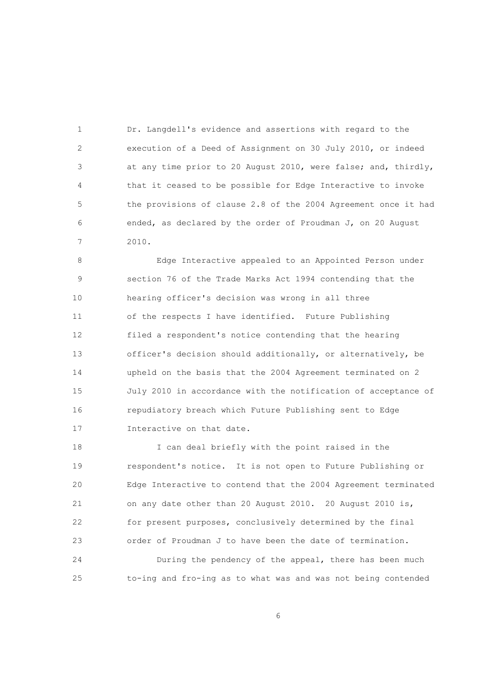1 Dr. Langdell's evidence and assertions with regard to the 2 execution of a Deed of Assignment on 30 July 2010, or indeed 3 at any time prior to 20 August 2010, were false; and, thirdly, 4 that it ceased to be possible for Edge Interactive to invoke 5 the provisions of clause 2.8 of the 2004 Agreement once it had 6 ended, as declared by the order of Proudman J, on 20 August 7 2010.

 8 Edge Interactive appealed to an Appointed Person under 9 section 76 of the Trade Marks Act 1994 contending that the 10 hearing officer's decision was wrong in all three 11 of the respects I have identified. Future Publishing 12 filed a respondent's notice contending that the hearing 13 officer's decision should additionally, or alternatively, be 14 upheld on the basis that the 2004 Agreement terminated on 2 15 July 2010 in accordance with the notification of acceptance of 16 repudiatory breach which Future Publishing sent to Edge 17 Interactive on that date.

 18 I can deal briefly with the point raised in the 19 respondent's notice. It is not open to Future Publishing or 20 Edge Interactive to contend that the 2004 Agreement terminated 21 on any date other than 20 August 2010. 20 August 2010 is, 22 for present purposes, conclusively determined by the final 23 order of Proudman J to have been the date of termination.

 24 During the pendency of the appeal, there has been much 25 to-ing and fro-ing as to what was and was not being contended

 $\sim$  6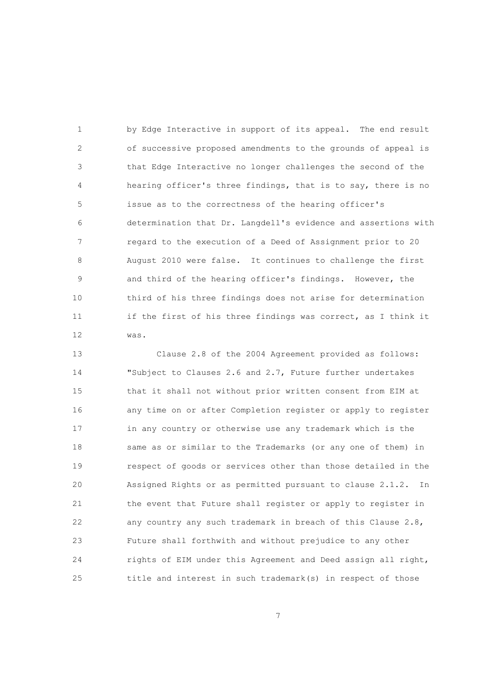1 by Edge Interactive in support of its appeal. The end result 2 of successive proposed amendments to the grounds of appeal is 3 that Edge Interactive no longer challenges the second of the 4 hearing officer's three findings, that is to say, there is no 5 issue as to the correctness of the hearing officer's 6 determination that Dr. Langdell's evidence and assertions with 7 regard to the execution of a Deed of Assignment prior to 20 8 August 2010 were false. It continues to challenge the first 9 and third of the hearing officer's findings. However, the 10 third of his three findings does not arise for determination 11 if the first of his three findings was correct, as I think it 12 was.

 13 Clause 2.8 of the 2004 Agreement provided as follows: 14 "Subject to Clauses 2.6 and 2.7, Future further undertakes 15 that it shall not without prior written consent from EIM at 16 any time on or after Completion register or apply to register 17 in any country or otherwise use any trademark which is the 18 same as or similar to the Trademarks (or any one of them) in 19 respect of goods or services other than those detailed in the 20 Assigned Rights or as permitted pursuant to clause 2.1.2. In 21 the event that Future shall register or apply to register in 22 any country any such trademark in breach of this Clause 2.8, 23 Future shall forthwith and without prejudice to any other 24 rights of EIM under this Agreement and Deed assign all right, 25 title and interest in such trademark(s) in respect of those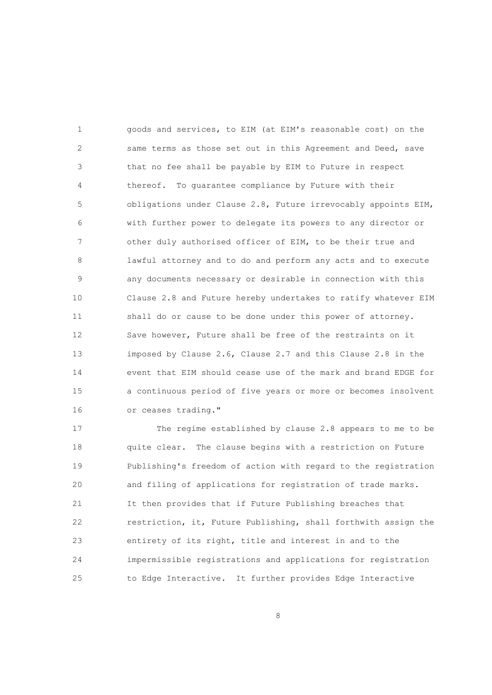1 goods and services, to EIM (at EIM's reasonable cost) on the 2 same terms as those set out in this Agreement and Deed, save 3 that no fee shall be payable by EIM to Future in respect 4 thereof. To guarantee compliance by Future with their 5 obligations under Clause 2.8, Future irrevocably appoints EIM, 6 with further power to delegate its powers to any director or 7 other duly authorised officer of EIM, to be their true and 8 lawful attorney and to do and perform any acts and to execute 9 any documents necessary or desirable in connection with this 10 Clause 2.8 and Future hereby undertakes to ratify whatever EIM 11 shall do or cause to be done under this power of attorney. 12 Save however, Future shall be free of the restraints on it 13 imposed by Clause 2.6, Clause 2.7 and this Clause 2.8 in the 14 event that EIM should cease use of the mark and brand EDGE for 15 a continuous period of five years or more or becomes insolvent 16 or ceases trading."

 17 The regime established by clause 2.8 appears to me to be 18 quite clear. The clause begins with a restriction on Future 19 Publishing's freedom of action with regard to the registration 20 and filing of applications for registration of trade marks. 21 It then provides that if Future Publishing breaches that 22 restriction, it, Future Publishing, shall forthwith assign the 23 entirety of its right, title and interest in and to the 24 impermissible registrations and applications for registration 25 to Edge Interactive. It further provides Edge Interactive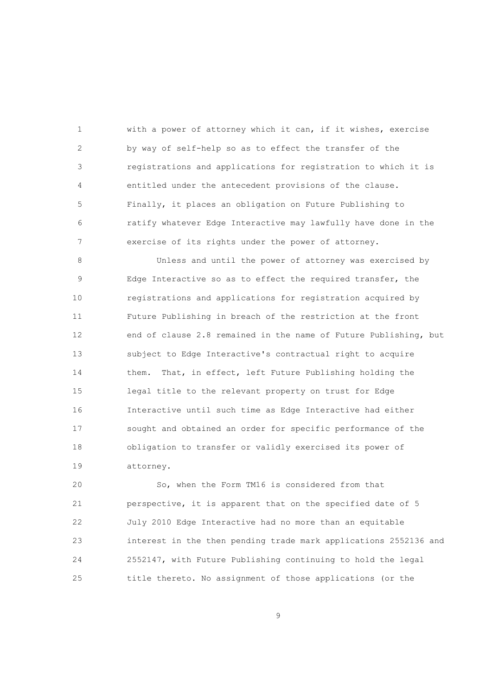1 with a power of attorney which it can, if it wishes, exercise 2 by way of self-help so as to effect the transfer of the 3 registrations and applications for registration to which it is 4 entitled under the antecedent provisions of the clause. 5 Finally, it places an obligation on Future Publishing to 6 ratify whatever Edge Interactive may lawfully have done in the 7 exercise of its rights under the power of attorney.

 8 Unless and until the power of attorney was exercised by 9 Edge Interactive so as to effect the required transfer, the 10 registrations and applications for registration acquired by 11 Future Publishing in breach of the restriction at the front 12 end of clause 2.8 remained in the name of Future Publishing, but 13 subject to Edge Interactive's contractual right to acquire 14 them. That, in effect, left Future Publishing holding the 15 legal title to the relevant property on trust for Edge 16 Interactive until such time as Edge Interactive had either 17 sought and obtained an order for specific performance of the 18 obligation to transfer or validly exercised its power of 19 attorney.

 20 So, when the Form TM16 is considered from that 21 perspective, it is apparent that on the specified date of 5 22 July 2010 Edge Interactive had no more than an equitable 23 interest in the then pending trade mark applications 2552136 and 24 2552147, with Future Publishing continuing to hold the legal 25 title thereto. No assignment of those applications (or the